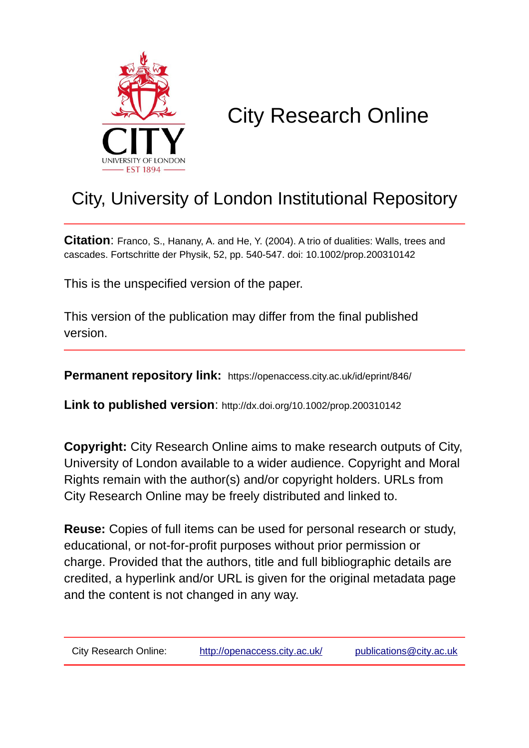

# City Research Online

# City, University of London Institutional Repository

**Citation**: Franco, S., Hanany, A. and He, Y. (2004). A trio of dualities: Walls, trees and cascades. Fortschritte der Physik, 52, pp. 540-547. doi: 10.1002/prop.200310142

This is the unspecified version of the paper.

This version of the publication may differ from the final published version.

**Permanent repository link:** https://openaccess.city.ac.uk/id/eprint/846/

**Link to published version**: http://dx.doi.org/10.1002/prop.200310142

**Copyright:** City Research Online aims to make research outputs of City, University of London available to a wider audience. Copyright and Moral Rights remain with the author(s) and/or copyright holders. URLs from City Research Online may be freely distributed and linked to.

**Reuse:** Copies of full items can be used for personal research or study, educational, or not-for-profit purposes without prior permission or charge. Provided that the authors, title and full bibliographic details are credited, a hyperlink and/or URL is given for the original metadata page and the content is not changed in any way.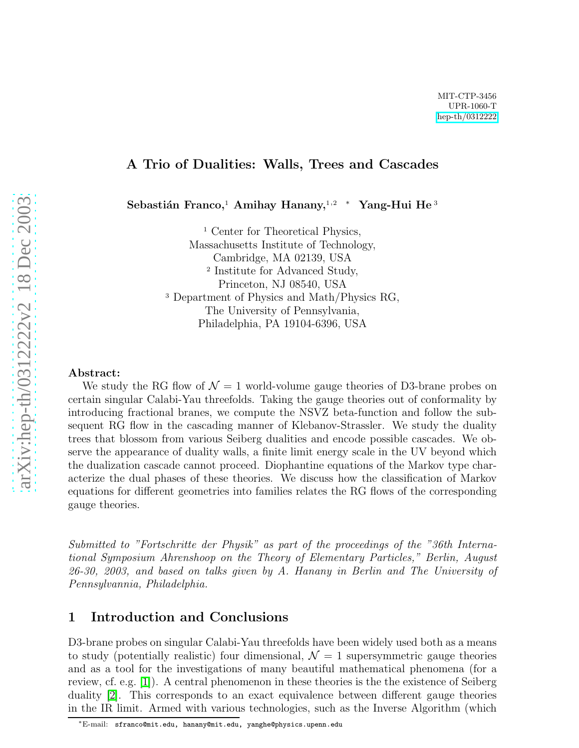#### A Trio of Dualities: Walls, Trees and Cascades

 ${\bf Se}$ bastián Franco,<sup>1</sup> Amihay Hanany,<sup>1,2</sup> \* Yang-Hui He<sup>3</sup>

<sup>1</sup> Center for Theoretical Physics, Massachusetts Institute of Technology, Cambridge, MA 02139, USA 2 Institute for Advanced Study, Princeton, NJ 08540, USA <sup>3</sup> Department of Physics and Math/Physics RG, The University of Pennsylvania, Philadelphia, PA 19104-6396, USA

#### Abstract:

We study the RG flow of  $\mathcal{N}=1$  world-volume gauge theories of D3-brane probes on certain singular Calabi-Yau threefolds. Taking the gauge theories out of conformality by introducing fractional branes, we compute the NSVZ beta-function and follow the subsequent RG flow in the cascading manner of Klebanov-Strassler. We study the duality trees that blossom from various Seiberg dualities and encode possible cascades. We observe the appearance of duality walls, a finite limit energy scale in the UV beyond which the dualization cascade cannot proceed. Diophantine equations of the Markov type characterize the dual phases of these theories. We discuss how the classification of Markov equations for different geometries into families relates the RG flows of the corresponding gauge theories.

Submitted to "Fortschritte der Physik" as part of the proceedings of the "36th International Symposium Ahrenshoop on the Theory of Elementary Particles," Berlin, August 26-30, 2003, and based on talks given by A. Hanany in Berlin and The University of Pennsylvannia, Philadelphia.

#### 1 Introduction and Conclusions

D3-brane probes on singular Calabi-Yau threefolds have been widely used both as a means to study (potentially realistic) four dimensional,  $\mathcal{N}=1$  supersymmetric gauge theories and as a tool for the investigations of many beautiful mathematical phenomena (for a review, cf. e.g. [\[1\]](#page-9-0)). A central phenomenon in these theories is the the existence of Seiberg duality [\[2\]](#page-9-1). This corresponds to an exact equivalence between different gauge theories in the IR limit. Armed with various technologies, such as the Inverse Algorithm (which

<sup>∗</sup>E-mail: sfranco@mit.edu, hanany@mit.edu, yanghe@physics.upenn.edu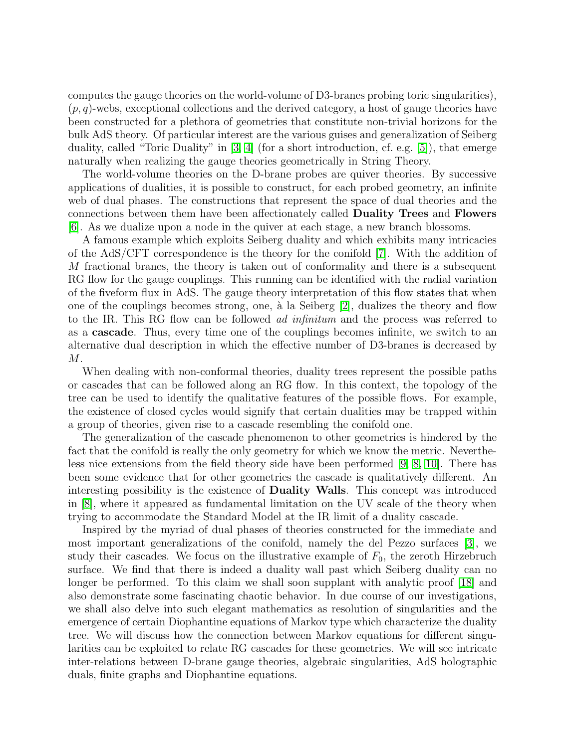computes the gauge theories on the world-volume of D3-branes probing toric singularities),  $(p, q)$ -webs, exceptional collections and the derived category, a host of gauge theories have been constructed for a plethora of geometries that constitute non-trivial horizons for the bulk AdS theory. Of particular interest are the various guises and generalization of Seiberg duality, called "Toric Duality" in [\[3,](#page-9-2) [4\]](#page-9-3) (for a short introduction, cf. e.g. [\[5\]](#page-9-4)), that emerge naturally when realizing the gauge theories geometrically in String Theory.

The world-volume theories on the D-brane probes are quiver theories. By successive applications of dualities, it is possible to construct, for each probed geometry, an infinite web of dual phases. The constructions that represent the space of dual theories and the connections between them have been affectionately called Duality Trees and Flowers [\[6\]](#page-9-5). As we dualize upon a node in the quiver at each stage, a new branch blossoms.

A famous example which exploits Seiberg duality and which exhibits many intricacies of the AdS/CFT correspondence is the theory for the conifold [\[7\]](#page-9-6). With the addition of M fractional branes, the theory is taken out of conformality and there is a subsequent RG flow for the gauge couplings. This running can be identified with the radial variation of the fiveform flux in AdS. The gauge theory interpretation of this flow states that when one of the couplings becomes strong, one, à la Seiberg  $[2]$ , dualizes the theory and flow to the IR. This RG flow can be followed ad infinitum and the process was referred to as a cascade. Thus, every time one of the couplings becomes infinite, we switch to an alternative dual description in which the effective number of D3-branes is decreased by M.

When dealing with non-conformal theories, duality trees represent the possible paths or cascades that can be followed along an RG flow. In this context, the topology of the tree can be used to identify the qualitative features of the possible flows. For example, the existence of closed cycles would signify that certain dualities may be trapped within a group of theories, given rise to a cascade resembling the conifold one.

The generalization of the cascade phenomenon to other geometries is hindered by the fact that the conifold is really the only geometry for which we know the metric. Nevertheless nice extensions from the field theory side have been performed [\[9,](#page-9-7) [8,](#page-9-8) [10\]](#page-9-9). There has been some evidence that for other geometries the cascade is qualitatively different. An interesting possibility is the existence of Duality Walls. This concept was introduced in [\[8\]](#page-9-8), where it appeared as fundamental limitation on the UV scale of the theory when trying to accommodate the Standard Model at the IR limit of a duality cascade.

Inspired by the myriad of dual phases of theories constructed for the immediate and most important generalizations of the conifold, namely the del Pezzo surfaces [\[3\]](#page-9-2), we study their cascades. We focus on the illustrative example of  $F_0$ , the zeroth Hirzebruch surface. We find that there is indeed a duality wall past which Seiberg duality can no longer be performed. To this claim we shall soon supplant with analytic proof [\[18\]](#page-10-0) and also demonstrate some fascinating chaotic behavior. In due course of our investigations, we shall also delve into such elegant mathematics as resolution of singularities and the emergence of certain Diophantine equations of Markov type which characterize the duality tree. We will discuss how the connection between Markov equations for different singularities can be exploited to relate RG cascades for these geometries. We will see intricate inter-relations between D-brane gauge theories, algebraic singularities, AdS holographic duals, finite graphs and Diophantine equations.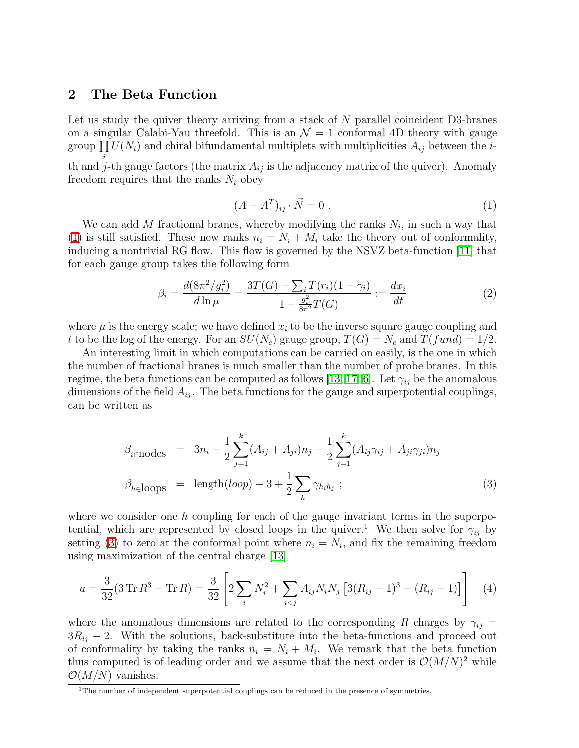#### 2 The Beta Function

i

Let us study the quiver theory arriving from a stack of  $N$  parallel coincident D3-branes on a singular Calabi-Yau threefold. This is an  $\mathcal{N}=1$  conformal 4D theory with gauge group  $\prod U(N_i)$  and chiral bifundamental multiplets with multiplicities  $A_{ij}$  between the *i*-

th and j-th gauge factors (the matrix  $A_{ij}$  is the adjacency matrix of the quiver). Anomaly freedom requires that the ranks  $N_i$  obey

<span id="page-3-0"></span>
$$
(A - AT)ij \cdot \vec{N} = 0.
$$
 (1)

We can add M fractional branes, whereby modifying the ranks  $N_i$ , in such a way that [\(1\)](#page-3-0) is still satisfied. These new ranks  $n_i = N_i + M_i$  take the theory out of conformality, inducing a nontrivial RG flow. This flow is governed by the NSVZ beta-function [\[11\]](#page-10-1) that for each gauge group takes the following form

$$
\beta_i = \frac{d(8\pi^2/g_i^2)}{d\ln\mu} = \frac{3T(G) - \sum_i T(r_i)(1 - \gamma_i)}{1 - \frac{g_i^2}{8\pi^2}T(G)} := \frac{dx_i}{dt}
$$
(2)

<span id="page-3-2"></span>where  $\mu$  is the energy scale; we have defined  $x_i$  to be the inverse square gauge coupling and t to be the log of the energy. For an  $SU(N_c)$  gauge group,  $T(G) = N_c$  and  $T(fund) = 1/2$ .

An interesting limit in which computations can be carried on easily, is the one in which the number of fractional branes is much smaller than the number of probe branes. In this regime, the beta functions can be computed as follows [\[13,](#page-10-2) [17,](#page-10-3) [6\]](#page-9-5). Let  $\gamma_{ij}$  be the anomalous dimensions of the field  $A_{ij}$ . The beta functions for the gauge and superpotential couplings, can be written as

<span id="page-3-1"></span>
$$
\beta_{i \in \text{nodes}} = 3n_i - \frac{1}{2} \sum_{j=1}^{k} (A_{ij} + A_{ji})n_j + \frac{1}{2} \sum_{j=1}^{k} (A_{ij} \gamma_{ij} + A_{ji} \gamma_{ji})n_j
$$
\n
$$
\beta_{h \in \text{loops}} = \text{length}(loop) - 3 + \frac{1}{2} \sum_{h} \gamma_{h_i h_j} ; \qquad (3)
$$

where we consider one  $h$  coupling for each of the gauge invariant terms in the superpotential, which are represented by closed loops in the quiver.<sup>1</sup> We then solve for  $\gamma_{ij}$  by setting [\(3\)](#page-3-1) to zero at the conformal point where  $n_i = N_i$ , and fix the remaining freedom using maximization of the central charge [\[13\]](#page-10-2)

$$
a = \frac{3}{32}(3 \operatorname{Tr} R^3 - \operatorname{Tr} R) = \frac{3}{32} \left[ 2 \sum_{i} N_i^2 + \sum_{i < j} A_{ij} N_i N_j \left[ 3(R_{ij} - 1)^3 - (R_{ij} - 1) \right] \right] \tag{4}
$$

where the anomalous dimensions are related to the corresponding R charges by  $\gamma_{ij} =$  $3R_{ij}$  − 2. With the solutions, back-substitute into the beta-functions and proceed out of conformality by taking the ranks  $n_i = N_i + M_i$ . We remark that the beta function thus computed is of leading order and we assume that the next order is  $\mathcal{O}(M/N)^2$  while  $\mathcal{O}(M/N)$  vanishes.

 $1$ The number of independent superpotential couplings can be reduced in the presence of symmetries.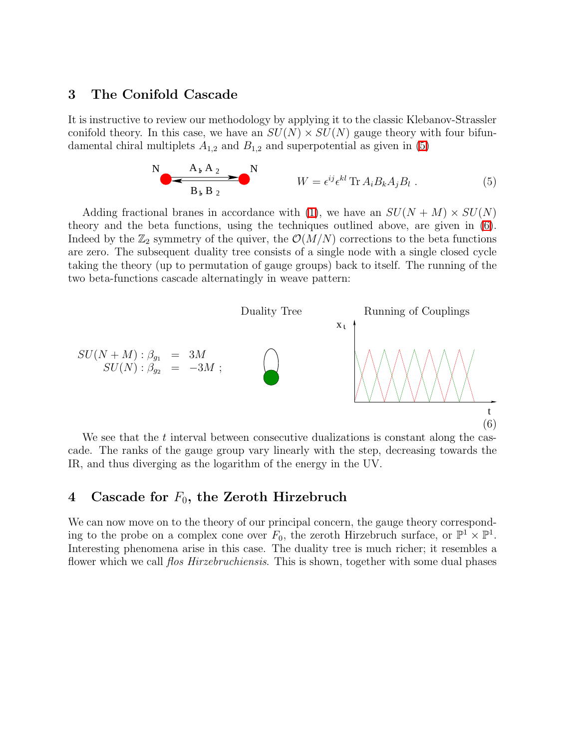#### 3 The Conifold Cascade

<span id="page-4-0"></span>It is instructive to review our methodology by applying it to the classic Klebanov-Strassler conifold theory. In this case, we have an  $SU(N) \times SU(N)$  gauge theory with four bifundamental chiral multiplets  $A_{1,2}$  and  $B_{1,2}$  and superpotential as given in [\(5\)](#page-4-0)

$$
N \longrightarrow A_{\mathfrak{b}} A_2 \longrightarrow N
$$
  
\n
$$
W = \epsilon^{ij} \epsilon^{kl} \operatorname{Tr} A_i B_k A_j B_l .
$$
 (5)

Adding fractional branes in accordance with [\(1\)](#page-3-0), we have an  $SU(N+M) \times SU(N)$ theory and the beta functions, using the techniques outlined above, are given in [\(6\)](#page-4-1). Indeed by the  $\mathbb{Z}_2$  symmetry of the quiver, the  $\mathcal{O}(M/N)$  corrections to the beta functions are zero. The subsequent duality tree consists of a single node with a single closed cycle taking the theory (up to permutation of gauge groups) back to itself. The running of the two beta-functions cascade alternatingly in weave pattern:

<span id="page-4-1"></span>

We see that the  $t$  interval between consecutive dualizations is constant along the cascade. The ranks of the gauge group vary linearly with the step, decreasing towards the IR, and thus diverging as the logarithm of the energy in the UV.

### <span id="page-4-2"></span>4 Cascade for  $F_0$ , the Zeroth Hirzebruch

We can now move on to the theory of our principal concern, the gauge theory corresponding to the probe on a complex cone over  $F_0$ , the zeroth Hirzebruch surface, or  $\mathbb{P}^1 \times \mathbb{P}^1$ . Interesting phenomena arise in this case. The duality tree is much richer; it resembles a flower which we call *flos Hirzebruchiensis*. This is shown, together with some dual phases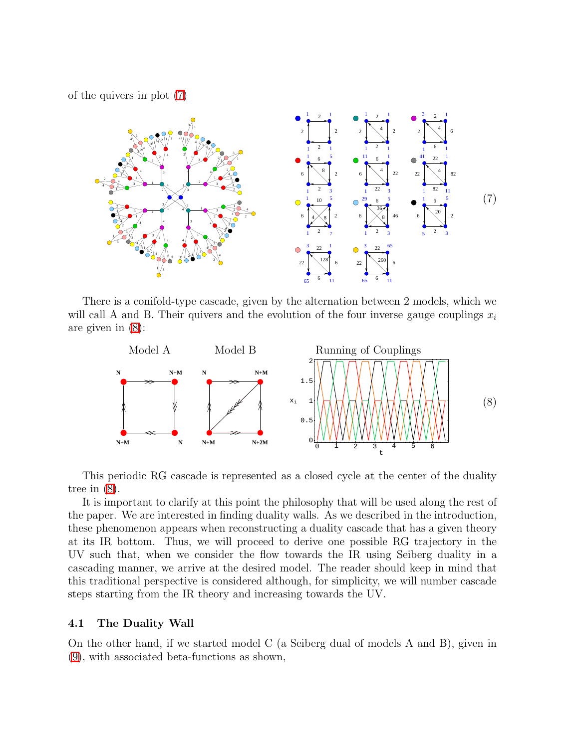of the quivers in plot [\(7\)](#page-5-0)

<span id="page-5-0"></span>

There is a conifold-type cascade, given by the alternation between 2 models, which we will call A and B. Their quivers and the evolution of the four inverse gauge couplings  $x_i$ are given in [\(8\)](#page-5-1):

<span id="page-5-1"></span>

This periodic RG cascade is represented as a closed cycle at the center of the duality tree in [\(8\)](#page-5-1).

It is important to clarify at this point the philosophy that will be used along the rest of the paper. We are interested in finding duality walls. As we described in the introduction, these phenomenon appears when reconstructing a duality cascade that has a given theory at its IR bottom. Thus, we will proceed to derive one possible RG trajectory in the UV such that, when we consider the flow towards the IR using Seiberg duality in a cascading manner, we arrive at the desired model. The reader should keep in mind that this traditional perspective is considered although, for simplicity, we will number cascade steps starting from the IR theory and increasing towards the UV.

#### 4.1 The Duality Wall

On the other hand, if we started model C (a Seiberg dual of models A and B), given in [\(9\)](#page-6-0), with associated beta-functions as shown,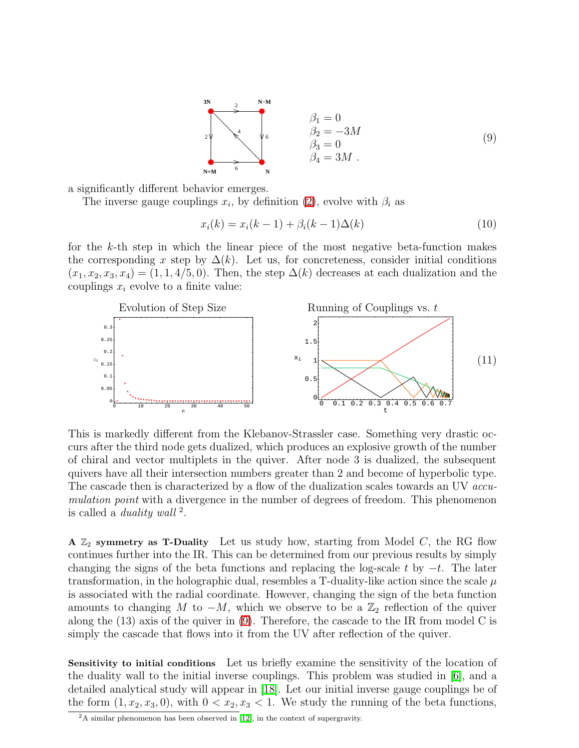<span id="page-6-0"></span>

a significantly different behavior emerges.

The inverse gauge couplings  $x_i$ , by definition [\(2\)](#page-3-2), evolve with  $\beta_i$  as

$$
x_i(k) = x_i(k-1) + \beta_i(k-1)\Delta(k)
$$
 (10)

for the  $k$ -th step in which the linear piece of the most negative beta-function makes the corresponding x step by  $\Delta(k)$ . Let us, for concreteness, consider initial conditions  $(x_1, x_2, x_3, x_4) = (1, 1, 4/5, 0)$ . Then, the step  $\Delta(k)$  decreases at each dualization and the couplings  $x_i$  evolve to a finite value:



This is markedly different from the Klebanov-Strassler case. Something very drastic occurs after the third node gets dualized, which produces an explosive growth of the number of chiral and vector multiplets in the quiver. After node 3 is dualized, the subsequent quivers have all their intersection numbers greater than 2 and become of hyperbolic type. The cascade then is characterized by a flow of the dualization scales towards an UV *accu*mulation point with a divergence in the number of degrees of freedom. This phenomenon is called a *duality wall*  $^2$ .

A  $\mathbb{Z}_2$  symmetry as T-Duality Let us study how, starting from Model C, the RG flow continues further into the IR. This can be determined from our previous results by simply changing the signs of the beta functions and replacing the log-scale t by  $-t$ . The later transformation, in the holographic dual, resembles a T-duality-like action since the scale  $\mu$ is associated with the radial coordinate. However, changing the sign of the beta function amounts to changing M to  $-M$ , which we observe to be a  $\mathbb{Z}_2$  reflection of the quiver along the (13) axis of the quiver in [\(9\)](#page-6-0). Therefore, the cascade to the IR from model C is simply the cascade that flows into it from the UV after reflection of the quiver.

Sensitivity to initial conditions Let us briefly examine the sensitivity of the location of the duality wall to the initial inverse couplings. This problem was studied in [\[6\]](#page-9-5), and a detailed analytical study will appear in [\[18\]](#page-10-0). Let our initial inverse gauge couplings be of the form  $(1, x_2, x_3, 0)$ , with  $0 < x_2, x_3 < 1$ . We study the running of the beta functions,

 $2A$  similar phenomenon has been observed in [\[12\]](#page-10-4), in the context of supergravity.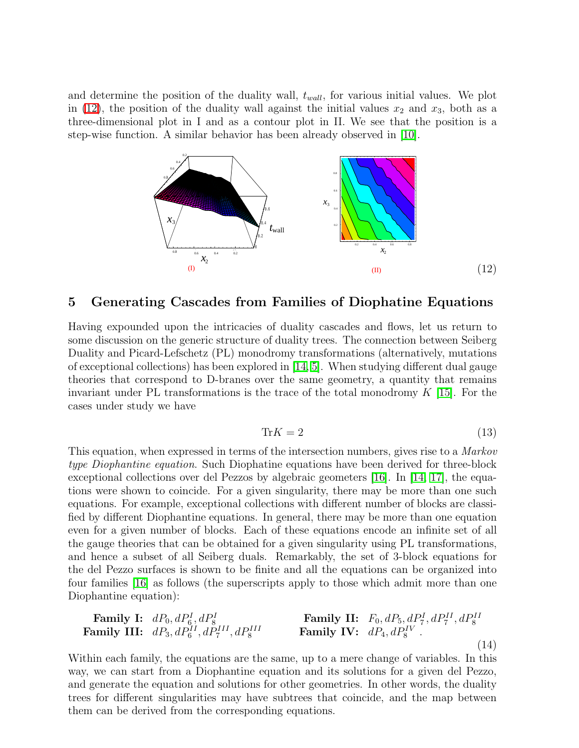and determine the position of the duality wall,  $t_{wall}$ , for various initial values. We plot in [\(12\)](#page-7-0), the position of the duality wall against the initial values  $x_2$  and  $x_3$ , both as a three-dimensional plot in I and as a contour plot in II. We see that the position is a step-wise function. A similar behavior has been already observed in [\[10\]](#page-9-9).



#### <span id="page-7-0"></span>5 Generating Cascades from Families of Diophatine Equations

Having expounded upon the intricacies of duality cascades and flows, let us return to some discussion on the generic structure of duality trees. The connection between Seiberg Duality and Picard-Lefschetz (PL) monodromy transformations (alternatively, mutations of exceptional collections) has been explored in [\[14,](#page-10-5) [5\]](#page-9-4). When studying different dual gauge theories that correspond to D-branes over the same geometry, a quantity that remains invariant under PL transformations is the trace of the total monodromy  $K$  [\[15\]](#page-10-6). For the cases under study we have

$$
\text{Tr}K = 2\tag{13}
$$

This equation, when expressed in terms of the intersection numbers, gives rise to a Markov type Diophantine equation. Such Diophatine equations have been derived for three-block exceptional collections over del Pezzos by algebraic geometers [\[16\]](#page-10-7). In [\[14,](#page-10-5) [17\]](#page-10-3), the equations were shown to coincide. For a given singularity, there may be more than one such equations. For example, exceptional collections with different number of blocks are classified by different Diophantine equations. In general, there may be more than one equation even for a given number of blocks. Each of these equations encode an infinite set of all the gauge theories that can be obtained for a given singularity using PL transformations, and hence a subset of all Seiberg duals. Remarkably, the set of 3-block equations for the del Pezzo surfaces is shown to be finite and all the equations can be organized into four families [\[16\]](#page-10-7) as follows (the superscripts apply to those which admit more than one Diophantine equation):

<span id="page-7-1"></span>**Family I:** 
$$
dP_0, dP_6^I, dP_8^I
$$
  
\n**Family II:**  $F_0, dP_5, dP_7^I, dP_7^{II}, dP_8^{II}$   
\n**Family IV:**  $dP_4, dP_8^{IV}$   
\n**Family IV:**  $dP_4, dP_8^{IV}$  (14)

Within each family, the equations are the same, up to a mere change of variables. In this way, we can start from a Diophantine equation and its solutions for a given del Pezzo, and generate the equation and solutions for other geometries. In other words, the duality trees for different singularities may have subtrees that coincide, and the map between them can be derived from the corresponding equations.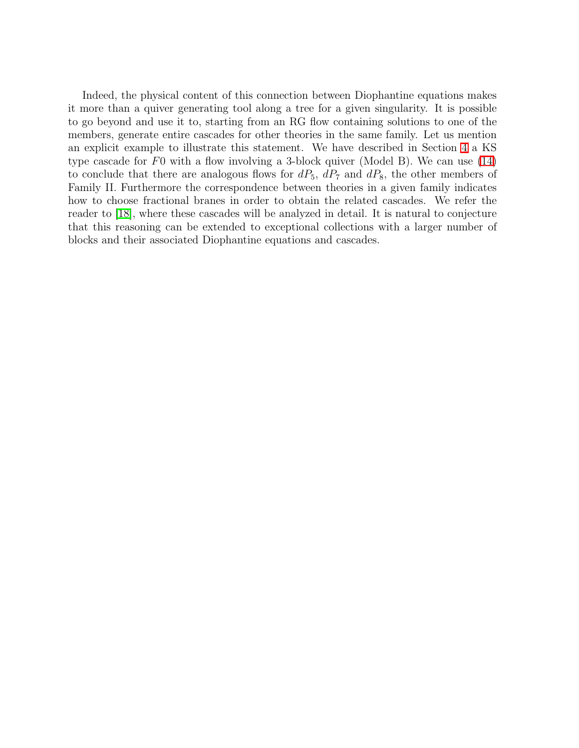Indeed, the physical content of this connection between Diophantine equations makes it more than a quiver generating tool along a tree for a given singularity. It is possible to go beyond and use it to, starting from an RG flow containing solutions to one of the members, generate entire cascades for other theories in the same family. Let us mention an explicit example to illustrate this statement. We have described in Section [4](#page-4-2) a KS type cascade for  $F_0$  with a flow involving a 3-block quiver (Model B). We can use [\(14\)](#page-7-1) to conclude that there are analogous flows for  $dP_5$ ,  $dP_7$  and  $dP_8$ , the other members of Family II. Furthermore the correspondence between theories in a given family indicates how to choose fractional branes in order to obtain the related cascades. We refer the reader to [\[18\]](#page-10-0), where these cascades will be analyzed in detail. It is natural to conjecture that this reasoning can be extended to exceptional collections with a larger number of blocks and their associated Diophantine equations and cascades.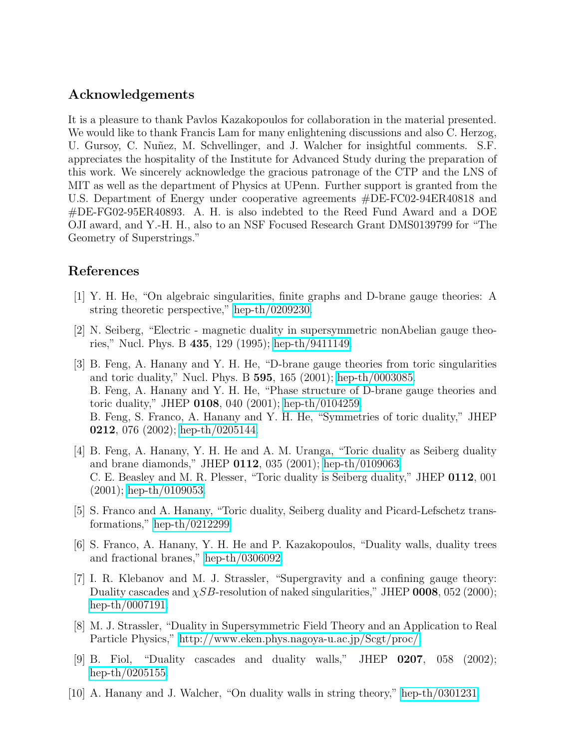## Acknowledgements

It is a pleasure to thank Pavlos Kazakopoulos for collaboration in the material presented. We would like to thank Francis Lam for many enlightening discussions and also C. Herzog, U. Gursoy, C. Nuñez, M. Schvellinger, and J. Walcher for insightful comments. S.F. appreciates the hospitality of the Institute for Advanced Study during the preparation of this work. We sincerely acknowledge the gracious patronage of the CTP and the LNS of MIT as well as the department of Physics at UPenn. Further support is granted from the U.S. Department of Energy under cooperative agreements #DE-FC02-94ER40818 and #DE-FG02-95ER40893. A. H. is also indebted to the Reed Fund Award and a DOE OJI award, and Y.-H. H., also to an NSF Focused Research Grant DMS0139799 for "The Geometry of Superstrings."

# <span id="page-9-0"></span>References

- [1] Y. H. He, "On algebraic singularities, finite graphs and D-brane gauge theories: A string theoretic perspective," [hep-th/0209230.](http://arXiv.org/abs/hep-th/0209230)
- <span id="page-9-1"></span>[2] N. Seiberg, "Electric - magnetic duality in supersymmetric nonAbelian gauge theories," Nucl. Phys. B 435, 129 (1995); [hep-th/9411149.](http://arXiv.org/abs/hep-th/9411149)
- <span id="page-9-2"></span>[3] B. Feng, A. Hanany and Y. H. He, "D-brane gauge theories from toric singularities and toric duality," Nucl. Phys. B 595, 165 (2001); [hep-th/0003085.](http://arXiv.org/abs/hep-th/0003085) B. Feng, A. Hanany and Y. H. He, "Phase structure of D-brane gauge theories and toric duality," JHEP 0108, 040 (2001); [hep-th/0104259.](http://arXiv.org/abs/hep-th/0104259) B. Feng, S. Franco, A. Hanany and Y. H. He, "Symmetries of toric duality," JHEP 0212, 076 (2002); [hep-th/0205144.](http://arXiv.org/abs/hep-th/0205144)
- <span id="page-9-3"></span>[4] B. Feng, A. Hanany, Y. H. He and A. M. Uranga, "Toric duality as Seiberg duality and brane diamonds," JHEP 0112, 035 (2001); [hep-th/0109063.](http://arXiv.org/abs/hep-th/0109063) C. E. Beasley and M. R. Plesser, "Toric duality is Seiberg duality," JHEP 0112, 001 (2001); [hep-th/0109053.](http://arXiv.org/abs/hep-th/0109053)
- <span id="page-9-4"></span>[5] S. Franco and A. Hanany, "Toric duality, Seiberg duality and Picard-Lefschetz transformations," [hep-th/0212299.](http://arXiv.org/abs/hep-th/0212299)
- <span id="page-9-5"></span>[6] S. Franco, A. Hanany, Y. H. He and P. Kazakopoulos, "Duality walls, duality trees and fractional branes," [hep-th/0306092.](http://arXiv.org/abs/hep-th/0306092)
- <span id="page-9-6"></span>[7] I. R. Klebanov and M. J. Strassler, "Supergravity and a confining gauge theory: Duality cascades and  $\chi SB$ -resolution of naked singularities," JHEP 0008, 052 (2000); [hep-th/0007191.](http://arXiv.org/abs/hep-th/0007191)
- <span id="page-9-8"></span>[8] M. J. Strassler, "Duality in Supersymmetric Field Theory and an Application to Real Particle Physics," [http://www.eken.phys.nagoya-u.ac.jp/Scgt/proc/.](http://www.eken.phys.nagoya-u.ac.jp/Scgt/proc/)
- <span id="page-9-7"></span>[9] B. Fiol, "Duality cascades and duality walls," JHEP 0207, 058 (2002); [hep-th/0205155.](http://arXiv.org/abs/hep-th/0205155)
- <span id="page-9-9"></span>[10] A. Hanany and J. Walcher, "On duality walls in string theory," [hep-th/0301231.](http://arXiv.org/abs/hep-th/0301231)